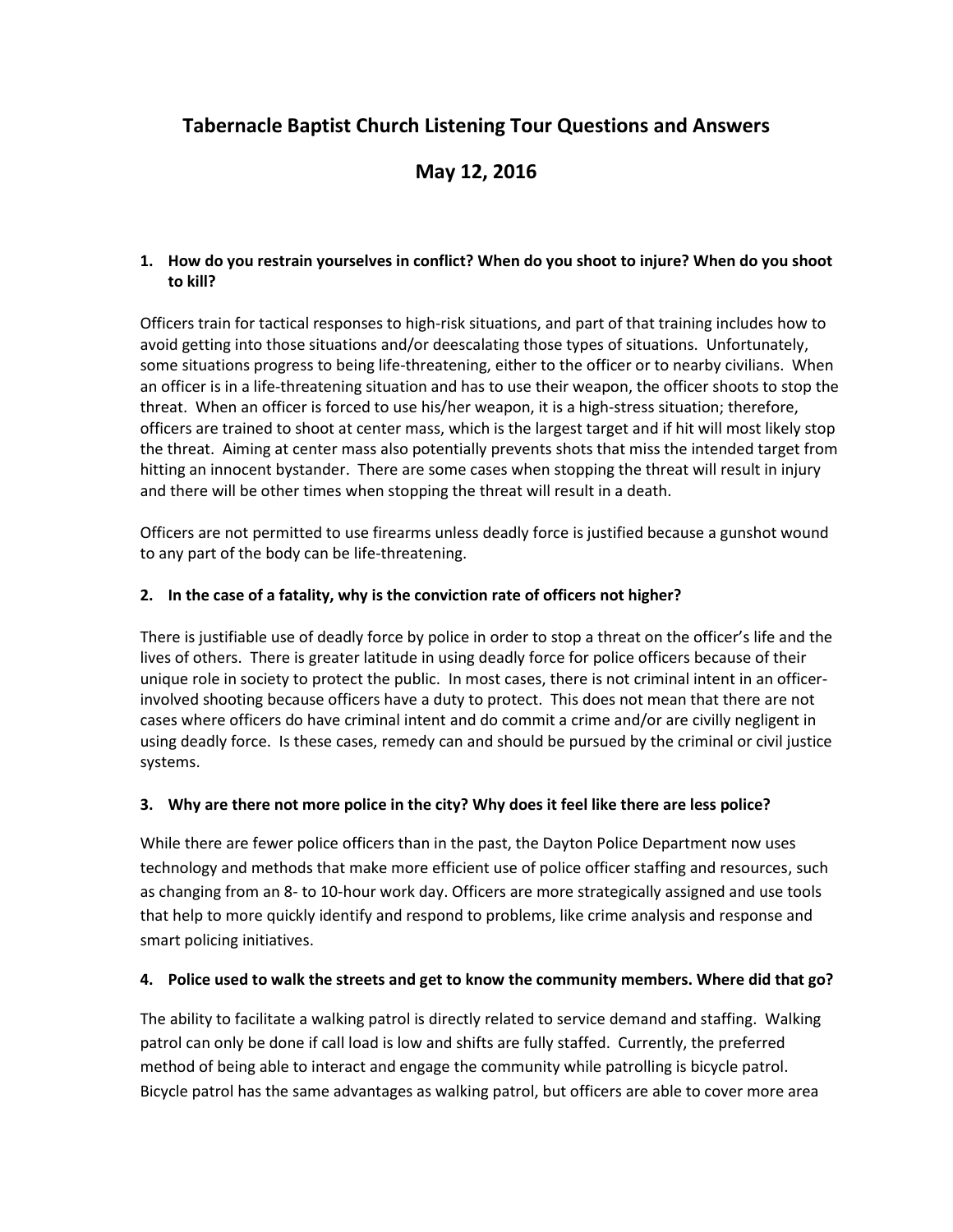# **Tabernacle Baptist Church Listening Tour Questions and Answers**

# **May 12, 2016**

#### **1. How do you restrain yourselves in conflict? When do you shoot to injure? When do you shoot to kill?**

Officers train for tactical responses to high-risk situations, and part of that training includes how to avoid getting into those situations and/or deescalating those types of situations. Unfortunately, some situations progress to being life-threatening, either to the officer or to nearby civilians. When an officer is in a life-threatening situation and has to use their weapon, the officer shoots to stop the threat. When an officer is forced to use his/her weapon, it is a high-stress situation; therefore, officers are trained to shoot at center mass, which is the largest target and if hit will most likely stop the threat. Aiming at center mass also potentially prevents shots that miss the intended target from hitting an innocent bystander. There are some cases when stopping the threat will result in injury and there will be other times when stopping the threat will result in a death.

Officers are not permitted to use firearms unless deadly force is justified because a gunshot wound to any part of the body can be life-threatening.

#### **2. In the case of a fatality, why is the conviction rate of officers not higher?**

There is justifiable use of deadly force by police in order to stop a threat on the officer's life and the lives of others. There is greater latitude in using deadly force for police officers because of their unique role in society to protect the public. In most cases, there is not criminal intent in an officerinvolved shooting because officers have a duty to protect. This does not mean that there are not cases where officers do have criminal intent and do commit a crime and/or are civilly negligent in using deadly force. Is these cases, remedy can and should be pursued by the criminal or civil justice systems.

#### **3. Why are there not more police in the city? Why does it feel like there are less police?**

While there are fewer police officers than in the past, the Dayton Police Department now uses technology and methods that make more efficient use of police officer staffing and resources, such as changing from an 8- to 10-hour work day. Officers are more strategically assigned and use tools that help to more quickly identify and respond to problems, like crime analysis and response and smart policing initiatives.

#### **4. Police used to walk the streets and get to know the community members. Where did that go?**

The ability to facilitate a walking patrol is directly related to service demand and staffing. Walking patrol can only be done if call load is low and shifts are fully staffed. Currently, the preferred method of being able to interact and engage the community while patrolling is bicycle patrol. Bicycle patrol has the same advantages as walking patrol, but officers are able to cover more area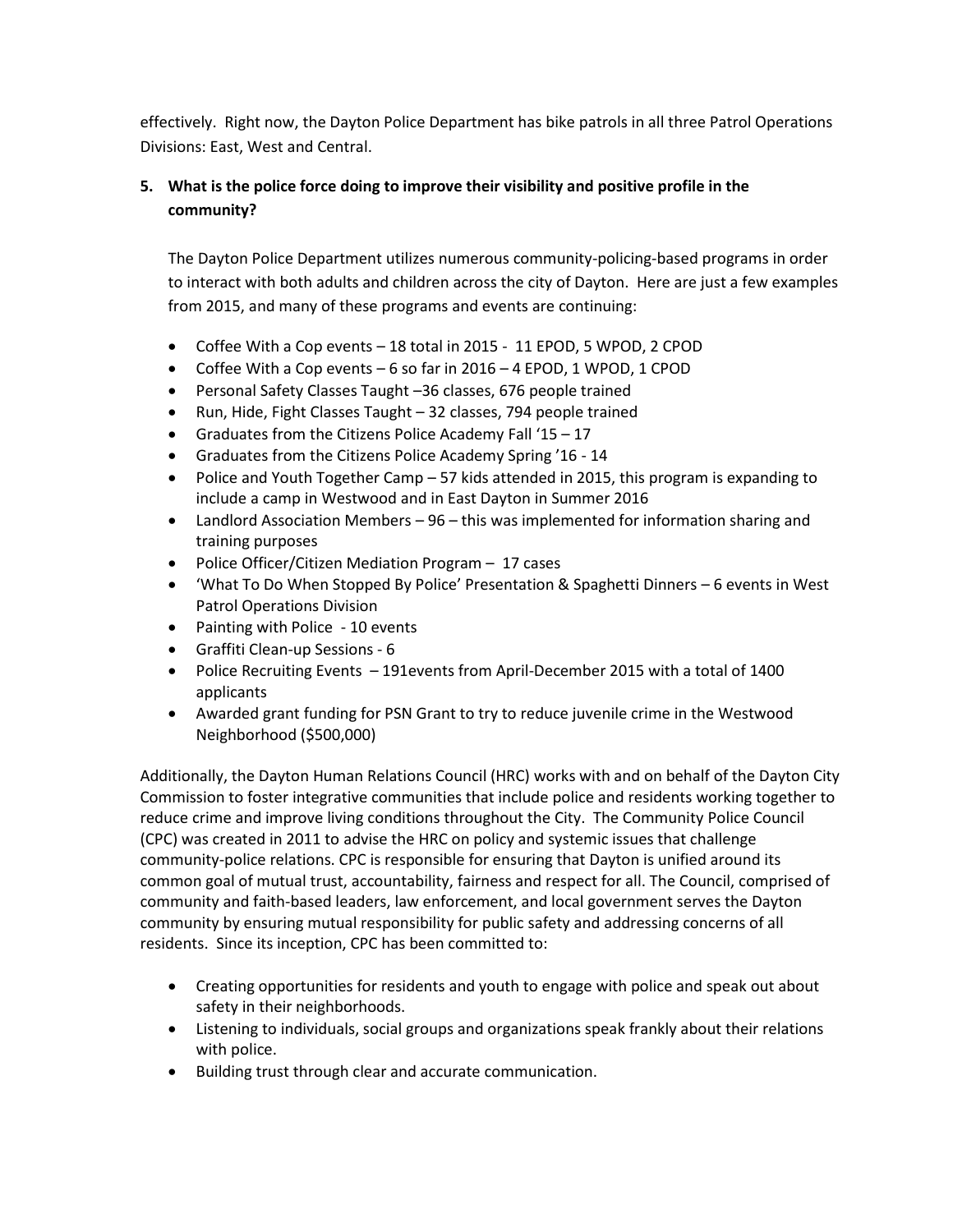effectively. Right now, the Dayton Police Department has bike patrols in all three Patrol Operations Divisions: East, West and Central.

# **5. What is the police force doing to improve their visibility and positive profile in the community?**

The Dayton Police Department utilizes numerous community-policing-based programs in order to interact with both adults and children across the city of Dayton. Here are just a few examples from 2015, and many of these programs and events are continuing:

- Coffee With a Cop events 18 total in 2015 11 EPOD, 5 WPOD, 2 CPOD
- Coffee With a Cop events 6 so far in 2016 4 EPOD, 1 WPOD, 1 CPOD
- Personal Safety Classes Taught –36 classes, 676 people trained
- Run, Hide, Fight Classes Taught 32 classes, 794 people trained
- Graduates from the Citizens Police Academy Fall '15 17
- Graduates from the Citizens Police Academy Spring '16 14
- Police and Youth Together Camp 57 kids attended in 2015, this program is expanding to include a camp in Westwood and in East Dayton in Summer 2016
- Landlord Association Members 96 this was implemented for information sharing and training purposes
- Police Officer/Citizen Mediation Program 17 cases
- 'What To Do When Stopped By Police' Presentation & Spaghetti Dinners 6 events in West Patrol Operations Division
- Painting with Police 10 events
- Graffiti Clean-up Sessions 6
- Police Recruiting Events 191events from April-December 2015 with a total of 1400 applicants
- Awarded grant funding for PSN Grant to try to reduce juvenile crime in the Westwood Neighborhood (\$500,000)

Additionally, the Dayton Human Relations Council (HRC) works with and on behalf of the Dayton City Commission to foster integrative communities that include police and residents working together to reduce crime and improve living conditions throughout the City. The Community Police Council (CPC) was created in 2011 to advise the HRC on policy and systemic issues that challenge community-police relations. CPC is responsible for ensuring that Dayton is unified around its common goal of mutual trust, accountability, fairness and respect for all. The Council, comprised of community and faith-based leaders, law enforcement, and local government serves the Dayton community by ensuring mutual responsibility for public safety and addressing concerns of all residents. Since its inception, CPC has been committed to:

- Creating opportunities for residents and youth to engage with police and speak out about safety in their neighborhoods.
- Listening to individuals, social groups and organizations speak frankly about their relations with police.
- Building trust through clear and accurate communication.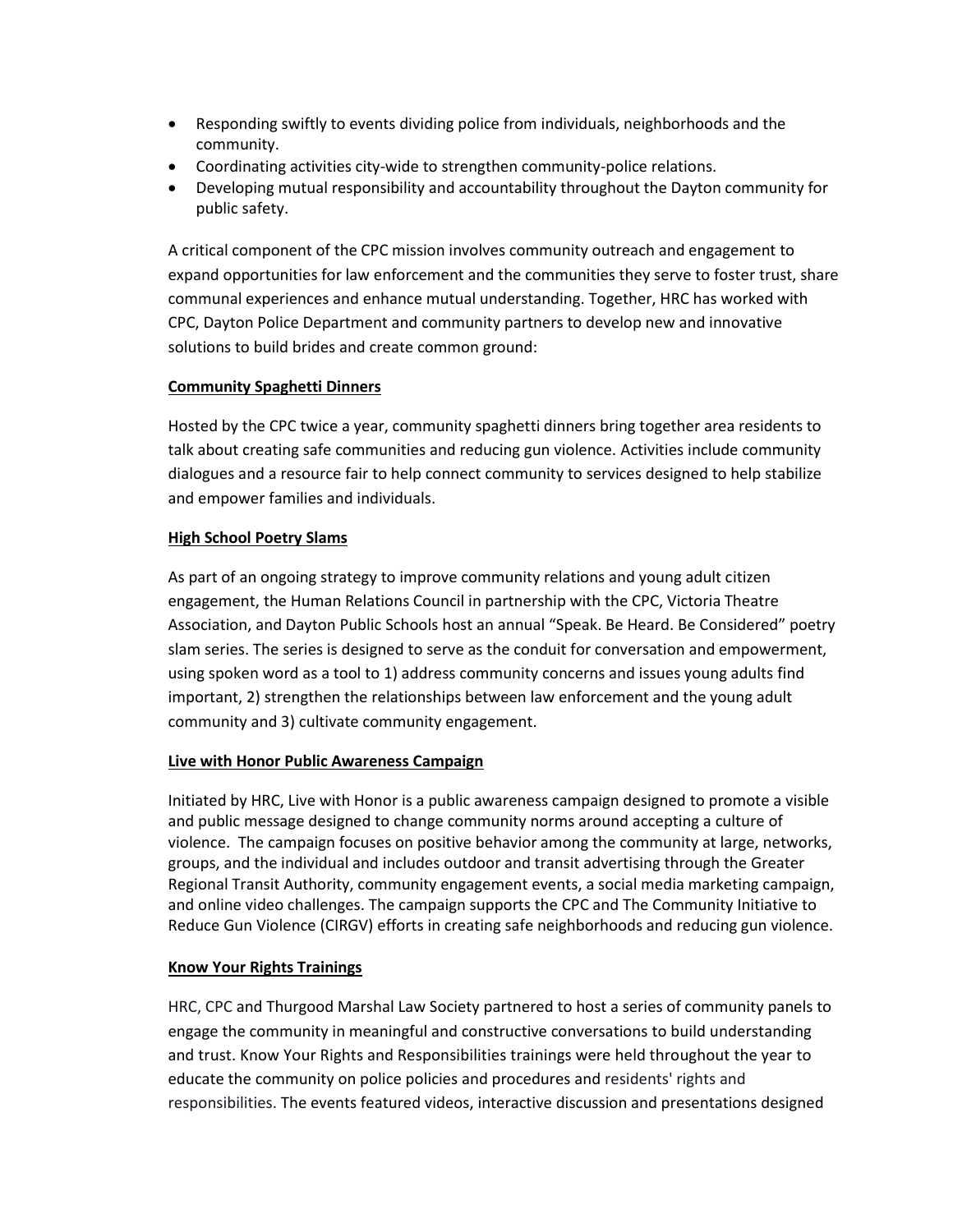- Responding swiftly to events dividing police from individuals, neighborhoods and the community.
- Coordinating activities city-wide to strengthen community-police relations.
- Developing mutual responsibility and accountability throughout the Dayton community for public safety.

A critical component of the CPC mission involves community outreach and engagement to expand opportunities for law enforcement and the communities they serve to foster trust, share communal experiences and enhance mutual understanding. Together, HRC has worked with CPC, Dayton Police Department and community partners to develop new and innovative solutions to build brides and create common ground:

#### **Community Spaghetti Dinners**

Hosted by the CPC twice a year, community spaghetti dinners bring together area residents to talk about creating safe communities and reducing gun violence. Activities include community dialogues and a resource fair to help connect community to services designed to help stabilize and empower families and individuals.

#### **High School Poetry Slams**

As part of an ongoing strategy to improve community relations and young adult citizen engagement, the Human Relations Council in partnership with the CPC, Victoria Theatre Association, and Dayton Public Schools host an annual "Speak. Be Heard. Be Considered" poetry slam series. The series is designed to serve as the conduit for conversation and empowerment, using spoken word as a tool to 1) address community concerns and issues young adults find important, 2) strengthen the relationships between law enforcement and the young adult community and 3) cultivate community engagement.

#### **Live with Honor Public Awareness Campaign**

Initiated by HRC, Live with Honor is a public awareness campaign designed to promote a visible and public message designed to change community norms around accepting a culture of violence. The campaign focuses on positive behavior among the community at large, networks, groups, and the individual and includes outdoor and transit advertising through the Greater Regional Transit Authority, community engagement events, a social media marketing campaign, and online video challenges. The campaign supports the CPC and The Community Initiative to Reduce Gun Violence (CIRGV) efforts in creating safe neighborhoods and reducing gun violence.

#### **Know Your Rights Trainings**

HRC, CPC and Thurgood Marshal Law Society partnered to host a series of community panels to engage the community in meaningful and constructive conversations to build understanding and trust. Know Your Rights and Responsibilities trainings were held throughout the year to educate the community on police policies and procedures and residents' rights and responsibilities. The events featured videos, interactive discussion and presentations designed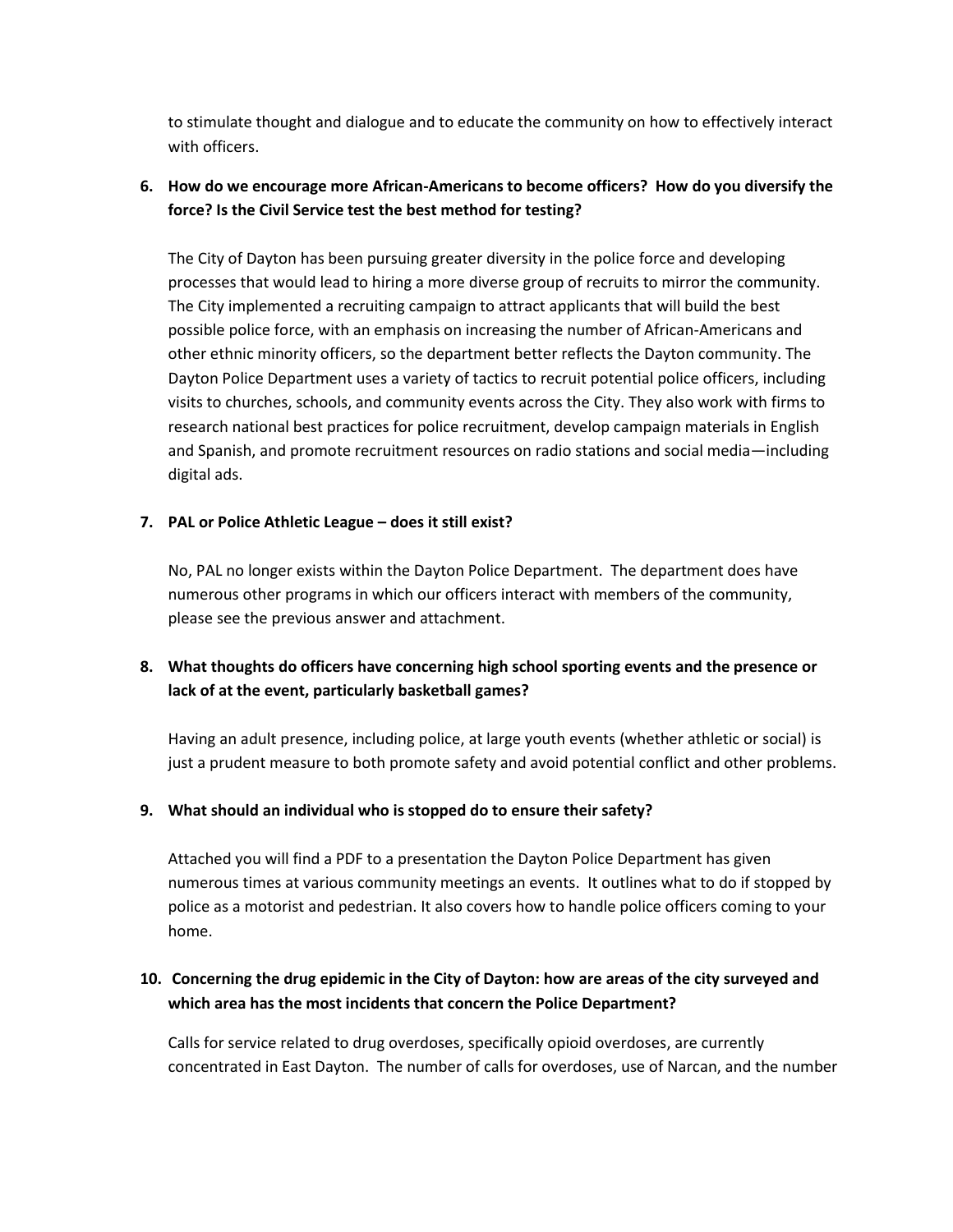to stimulate thought and dialogue and to educate the community on how to effectively interact with officers.

## **6. How do we encourage more African-Americans to become officers? How do you diversify the force? Is the Civil Service test the best method for testing?**

The City of Dayton has been pursuing greater diversity in the police force and developing processes that would lead to hiring a more diverse group of recruits to mirror the community. The City implemented a recruiting campaign to attract applicants that will build the best possible police force, with an emphasis on increasing the number of African-Americans and other ethnic minority officers, so the department better reflects the Dayton community. The Dayton Police Department uses a variety of tactics to recruit potential police officers, including visits to churches, schools, and community events across the City. They also work with firms to research national best practices for police recruitment, develop campaign materials in English and Spanish, and promote recruitment resources on radio stations and social media—including digital ads.

#### **7. PAL or Police Athletic League – does it still exist?**

No, PAL no longer exists within the Dayton Police Department. The department does have numerous other programs in which our officers interact with members of the community, please see the previous answer and attachment.

## **8. What thoughts do officers have concerning high school sporting events and the presence or lack of at the event, particularly basketball games?**

Having an adult presence, including police, at large youth events (whether athletic or social) is just a prudent measure to both promote safety and avoid potential conflict and other problems.

#### **9. What should an individual who is stopped do to ensure their safety?**

Attached you will find a PDF to a presentation the Dayton Police Department has given numerous times at various community meetings an events. It outlines what to do if stopped by police as a motorist and pedestrian. It also covers how to handle police officers coming to your home.

## **10. Concerning the drug epidemic in the City of Dayton: how are areas of the city surveyed and which area has the most incidents that concern the Police Department?**

Calls for service related to drug overdoses, specifically opioid overdoses, are currently concentrated in East Dayton. The number of calls for overdoses, use of Narcan, and the number